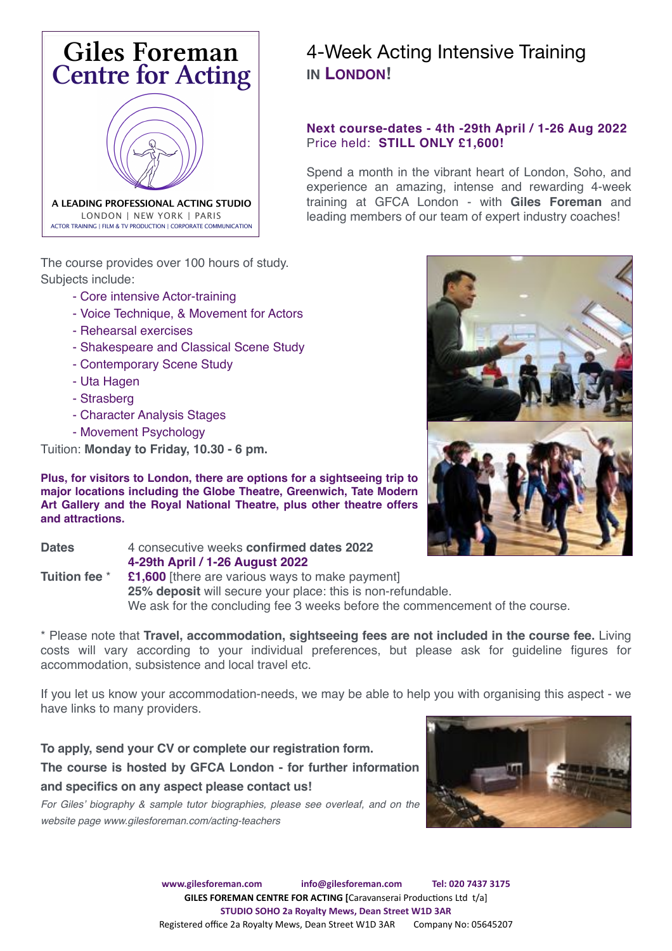

The course provides over 100 hours of study. Subjects include:

- Core intensive Actor-training
- Voice Technique, & Movement for Actors
- Rehearsal exercises
- Shakespeare and Classical Scene Study
- Contemporary Scene Study
- Uta Hagen
- Strasberg
- Character Analysis Stages
- Movement Psychology

Tuition: **Monday to Friday, 10.30 - 6 pm.**

**Plus, for visitors to London, there are options for a sightseeing trip to major locations including the Globe Theatre, Greenwich, Tate Modern Art Gallery and the Royal National Theatre, plus other theatre offers and attractions.** 

**Dates** 4 consecutive weeks **confirmed dates 2022 4-29th April / 1-26 August 2022 Tuition fee \*** £1,600 [there are various ways to make payment] **25% deposit** will secure your place: this is non-refundable. We ask for the concluding fee 3 weeks before the commencement of the course.

\* Please note that **Travel, accommodation, sightseeing fees are not included in the course fee.** Living costs will vary according to your individual preferences, but please ask for guideline figures for accommodation, subsistence and local travel etc.

If you let us know your accommodation-needs, we may be able to help you with organising this aspect - we have links to many providers.

**To apply, send your CV or complete our registration form. The course is hosted by GFCA London - for further information and specifics on any aspect please contact us!** 

*For Giles' biography & sample tutor biographies, please see overleaf, and on the website page www.gilesforeman.com/acting-teachers* 



# 4-Week Acting Intensive Training **IN LONDON!**

# **Next course-dates - 4th -29th April / 1-26 Aug 2022** Price held: **STILL ONLY £1,600!**

Spend a month in the vibrant heart of London, Soho, and experience an amazing, intense and rewarding 4-week training at GFCA London - with **Giles Foreman** and leading members of our team of expert industry coaches!

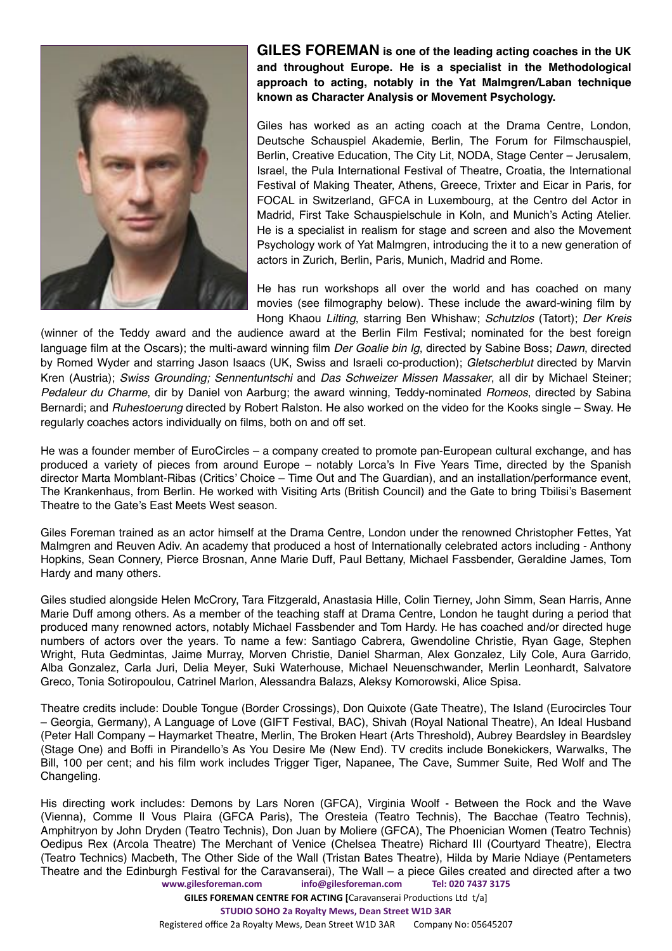

**GILES FOREMAN is one of the leading acting coaches in the UK and throughout Europe. He is a specialist in the Methodological approach to acting, notably in the Yat Malmgren/Laban technique known as Character Analysis or Movement Psychology.**

Giles has worked as an acting coach at the Drama Centre, London, Deutsche Schauspiel Akademie, Berlin, The Forum for Filmschauspiel, Berlin, Creative Education, The City Lit, NODA, Stage Center – Jerusalem, Israel, the Pula International Festival of Theatre, Croatia, the International Festival of Making Theater, Athens, Greece, Trixter and Eicar in Paris, for FOCAL in Switzerland, GFCA in Luxembourg, at the Centro del Actor in Madrid, First Take Schauspielschule in Koln, and Munich's Acting Atelier. He is a specialist in realism for stage and screen and also the Movement Psychology work of Yat Malmgren, introducing the it to a new generation of actors in Zurich, Berlin, Paris, Munich, Madrid and Rome.

He has run workshops all over the world and has coached on many movies (see filmography below). These include the award-wining film by Hong Khaou *Lilting*, starring Ben Whishaw; *Schutzlos* (Tatort); *Der Kreis* 

(winner of the Teddy award and the audience award at the Berlin Film Festival; nominated for the best foreign language film at the Oscars); the multi-award winning film *Der Goalie bin Ig*, directed by Sabine Boss; *Dawn*, directed by Romed Wyder and starring Jason Isaacs (UK, Swiss and Israeli co-production); *Gletscherblut* directed by Marvin Kren (Austria); *Swiss Grounding; Sennentuntschi* and *Das Schweizer Missen Massaker*, all dir by Michael Steiner; *Pedaleur du Charme*, dir by Daniel von Aarburg; the award winning, Teddy-nominated *Romeos*, directed by Sabina Bernardi; and *Ruhestoerung* directed by Robert Ralston. He also worked on the video for the Kooks single – Sway. He regularly coaches actors individually on films, both on and off set.

He was a founder member of EuroCircles – a company created to promote pan-European cultural exchange, and has produced a variety of pieces from around Europe – notably Lorca's In Five Years Time, directed by the Spanish director Marta Momblant-Ribas (Critics' Choice – Time Out and The Guardian), and an installation/performance event, The Krankenhaus, from Berlin. He worked with Visiting Arts (British Council) and the Gate to bring Tbilisi's Basement Theatre to the Gate's East Meets West season.

Giles Foreman trained as an actor himself at the Drama Centre, London under the renowned Christopher Fettes, Yat Malmgren and Reuven Adiv. An academy that produced a host of Internationally celebrated actors including - Anthony Hopkins, Sean Connery, Pierce Brosnan, Anne Marie Duff, Paul Bettany, Michael Fassbender, Geraldine James, Tom Hardy and many others.

Giles studied alongside Helen McCrory, Tara Fitzgerald, Anastasia Hille, Colin Tierney, John Simm, Sean Harris, Anne Marie Duff among others. As a member of the teaching staff at Drama Centre, London he taught during a period that produced many renowned actors, notably Michael Fassbender and Tom Hardy. He has coached and/or directed huge numbers of actors over the years. To name a few: Santiago Cabrera, Gwendoline Christie, Ryan Gage, Stephen Wright, Ruta Gedmintas, Jaime Murray, Morven Christie, Daniel Sharman, Alex Gonzalez, Lily Cole, Aura Garrido, Alba Gonzalez, Carla Juri, Delia Meyer, Suki Waterhouse, Michael Neuenschwander, Merlin Leonhardt, Salvatore Greco, Tonia Sotiropoulou, Catrinel Marlon, Alessandra Balazs, Aleksy Komorowski, Alice Spisa.

Theatre credits include: Double Tongue (Border Crossings), Don Quixote (Gate Theatre), The Island (Eurocircles Tour – Georgia, Germany), A Language of Love (GIFT Festival, BAC), Shivah (Royal National Theatre), An Ideal Husband (Peter Hall Company – Haymarket Theatre, Merlin, The Broken Heart (Arts Threshold), Aubrey Beardsley in Beardsley (Stage One) and Boffi in Pirandello's As You Desire Me (New End). TV credits include Bonekickers, Warwalks, The Bill, 100 per cent; and his film work includes Trigger Tiger, Napanee, The Cave, Summer Suite, Red Wolf and The Changeling.

His directing work includes: Demons by Lars Noren (GFCA), Virginia Woolf - Between the Rock and the Wave (Vienna), Comme Il Vous Plaira (GFCA Paris), The Oresteia (Teatro Technis), The Bacchae (Teatro Technis), Amphitryon by John Dryden (Teatro Technis), Don Juan by Moliere (GFCA), The Phoenician Women (Teatro Technis) Oedipus Rex (Arcola Theatre) The Merchant of Venice (Chelsea Theatre) Richard III (Courtyard Theatre), Electra (Teatro Technics) Macbeth, The Other Side of the Wall (Tristan Bates Theatre), Hilda by Marie Ndiaye (Pentameters Theatre and the Edinburgh Festival for the Caravanserai), The Wall – a piece Giles created and directed after a two **[www.gilesforeman.com](http://www.gilesforeman.com) [info@gilesforeman.com](mailto:info@gilesforeman.com) Tel: 020 7437 3175**

**GILES FOREMAN CENTRE FOR ACTING [**Caravanserai Productions Ltd t/a]

**STUDIO SOHO 2a Royalty Mews, Dean Street W1D 3AR**

Registered office 2a Royalty Mews, Dean Street W1D 3AR Company No: 05645207